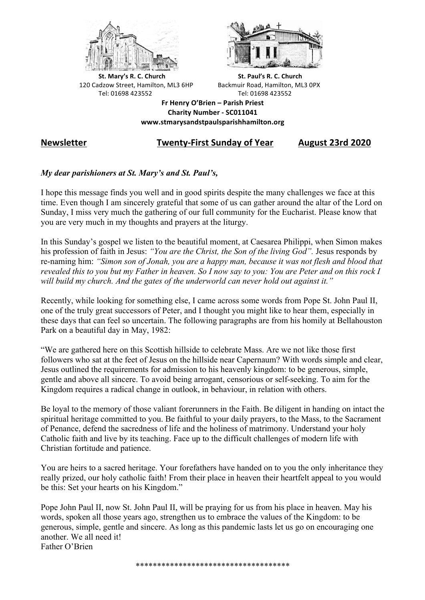



**St.** Mary's R. C. Church St. Paul's R. C. Church 120 Cadzow Street, Hamilton, ML3 6HP Backmuir Road, Hamilton, ML3 0PX Tel: 01698 423552 Tel: 01698 423552

**Fr Henry O'Brien – Parish Priest Charity Number - SC011041 www.stmarysandstpaulsparishhamilton.org**

# **Newsletter Twenty-First Sunday of Year August 23rd 2020**

### *My dear parishioners at St. Mary's and St. Paul's,*

I hope this message finds you well and in good spirits despite the many challenges we face at this time. Even though I am sincerely grateful that some of us can gather around the altar of the Lord on Sunday, I miss very much the gathering of our full community for the Eucharist. Please know that you are very much in my thoughts and prayers at the liturgy.

In this Sunday's gospel we listen to the beautiful moment, at Caesarea Philippi, when Simon makes his profession of faith in Jesus: *"You are the Christ, the Son of the living God".* Jesus responds by re-naming him: *"Simon son of Jonah, you are a happy man, because it was not flesh and blood that revealed this to you but my Father in heaven. So I now say to you: You are Peter and on this rock I will build my church. And the gates of the underworld can never hold out against it."*

Recently, while looking for something else, I came across some words from Pope St. John Paul II, one of the truly great successors of Peter, and I thought you might like to hear them, especially in these days that can feel so uncertain. The following paragraphs are from his homily at Bellahouston Park on a beautiful day in May, 1982:

"We are gathered here on this Scottish hillside to celebrate Mass. Are we not like those first followers who sat at the feet of Jesus on the hillside near Capernaum? With words simple and clear, Jesus outlined the requirements for admission to his heavenly kingdom: to be generous, simple, gentle and above all sincere. To avoid being arrogant, censorious or self-seeking. To aim for the Kingdom requires a radical change in outlook, in behaviour, in relation with others.

Be loyal to the memory of those valiant forerunners in the Faith. Be diligent in handing on intact the spiritual heritage committed to you. Be faithful to your daily prayers, to the Mass, to the Sacrament of Penance, defend the sacredness of life and the holiness of matrimony. Understand your holy Catholic faith and live by its teaching. Face up to the difficult challenges of modern life with Christian fortitude and patience.

You are heirs to a sacred heritage. Your forefathers have handed on to you the only inheritance they really prized, our holy catholic faith! From their place in heaven their heartfelt appeal to you would be this: Set your hearts on his Kingdom."

Pope John Paul II, now St. John Paul II, will be praying for us from his place in heaven. May his words, spoken all those years ago, strengthen us to embrace the values of the Kingdom: to be generous, simple, gentle and sincere. As long as this pandemic lasts let us go on encouraging one another. We all need it! Father O'Brien

\*\*\*\*\*\*\*\*\*\*\*\*\*\*\*\*\*\*\*\*\*\*\*\*\*\*\*\*\*\*\*\*\*\*\*\*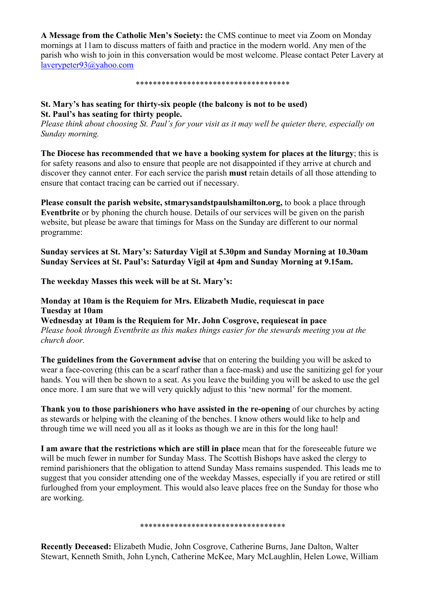**A Message from the Catholic Men's Society:** the CMS continue to meet via Zoom on Monday mornings at 11am to discuss matters of faith and practice in the modern world. Any men of the parish who wish to join in this conversation would be most welcome. Please contact Peter Lavery at laverypeter93@yahoo.com

\*\*\*\*\*\*\*\*\*\*\*\*\*\*\*\*\*\*\*\*\*\*\*\*\*\*\*\*\*\*\*\*\*\*\*\*

## **St. Mary's has seating for thirty-six people (the balcony is not to be used) St. Paul's has seating for thirty people.**

*Please think about choosing St. Paul's for your visit as it may well be quieter there, especially on Sunday morning.*

**The Diocese has recommended that we have a booking system for places at the liturgy**; this is for safety reasons and also to ensure that people are not disappointed if they arrive at church and discover they cannot enter. For each service the parish **must** retain details of all those attending to ensure that contact tracing can be carried out if necessary.

**Please consult the parish website, stmarysandstpaulshamilton.org,** to book a place through **Eventbrite** or by phoning the church house. Details of our services will be given on the parish website, but please be aware that timings for Mass on the Sunday are different to our normal programme:

### **Sunday services at St. Mary's: Saturday Vigil at 5.30pm and Sunday Morning at 10.30am Sunday Services at St. Paul's: Saturday Vigil at 4pm and Sunday Morning at 9.15am.**

**The weekday Masses this week will be at St. Mary's:**

#### **Monday at 10am is the Requiem for Mrs. Elizabeth Mudie, requiescat in pace Tuesday at 10am**

**Wednesday at 10am is the Requiem for Mr. John Cosgrove, requiescat in pace** *Please book through Eventbrite as this makes things easier for the stewards meeting you at the church door.*

**The guidelines from the Government advise** that on entering the building you will be asked to wear a face-covering (this can be a scarf rather than a face-mask) and use the sanitizing gel for your hands. You will then be shown to a seat. As you leave the building you will be asked to use the gel once more. I am sure that we will very quickly adjust to this 'new normal' for the moment.

**Thank you to those parishioners who have assisted in the re-opening** of our churches by acting as stewards or helping with the cleaning of the benches. I know others would like to help and through time we will need you all as it looks as though we are in this for the long haul!

**I am aware that the restrictions which are still in place** mean that for the foreseeable future we will be much fewer in number for Sunday Mass. The Scottish Bishops have asked the clergy to remind parishioners that the obligation to attend Sunday Mass remains suspended. This leads me to suggest that you consider attending one of the weekday Masses, especially if you are retired or still furloughed from your employment. This would also leave places free on the Sunday for those who are working.

#### \*\*\*\*\*\*\*\*\*\*\*\*\*\*\*\*\*\*\*\*\*\*\*\*\*\*\*\*\*\*\*\*\*\*

**Recently Deceased:** Elizabeth Mudie, John Cosgrove, Catherine Burns, Jane Dalton, Walter Stewart, Kenneth Smith, John Lynch, Catherine McKee, Mary McLaughlin, Helen Lowe, William